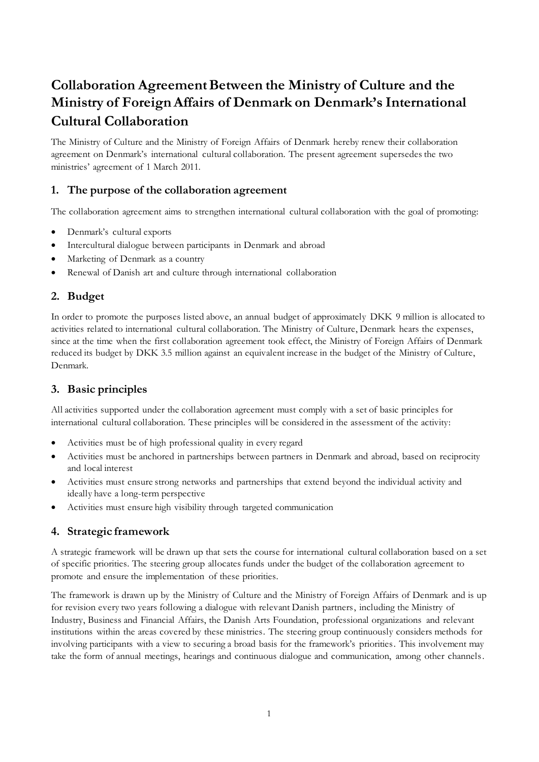# **Collaboration Agreement Between the Ministry of Culture and the Ministry of Foreign Affairs of Denmark on Denmark's International Cultural Collaboration**

The Ministry of Culture and the Ministry of Foreign Affairs of Denmark hereby renew their collaboration agreement on Denmark's international cultural collaboration. The present agreement supersedes the two ministries' agreement of 1 March 2011.

## **1. The purpose of the collaboration agreement**

The collaboration agreement aims to strengthen international cultural collaboration with the goal of promoting:

- Denmark's cultural exports
- Intercultural dialogue between participants in Denmark and abroad
- Marketing of Denmark as a country
- Renewal of Danish art and culture through international collaboration

## **2. Budget**

In order to promote the purposes listed above, an annual budget of approximately DKK 9 million is allocated to activities related to international cultural collaboration. The Ministry of Culture, Denmark hears the expenses, since at the time when the first collaboration agreement took effect, the Ministry of Foreign Affairs of Denmark reduced its budget by DKK 3.5 million against an equivalent increase in the budget of the Ministry of Culture, Denmark.

# **3. Basic principles**

All activities supported under the collaboration agreement must comply with a set of basic principles for international cultural collaboration. These principles will be considered in the assessment of the activity:

- Activities must be of high professional quality in every regard
- Activities must be anchored in partnerships between partners in Denmark and abroad, based on reciprocity and local interest
- Activities must ensure strong networks and partnerships that extend beyond the individual activity and ideally have a long-term perspective
- Activities must ensure high visibility through targeted communication

## **4. Strategic framework**

A strategic framework will be drawn up that sets the course for international cultural collaboration based on a set of specific priorities. The steering group allocates funds under the budget of the collaboration agreement to promote and ensure the implementation of these priorities.

The framework is drawn up by the Ministry of Culture and the Ministry of Foreign Affairs of Denmark and is up for revision every two years following a dialogue with relevant Danish partners, including the Ministry of Industry, Business and Financial Affairs, the Danish Arts Foundation, professional organizations and relevant institutions within the areas covered by these ministries. The steering group continuously considers methods for involving participants with a view to securing a broad basis for the framework's priorities. This involvement may take the form of annual meetings, hearings and continuous dialogue and communication, among other channels.